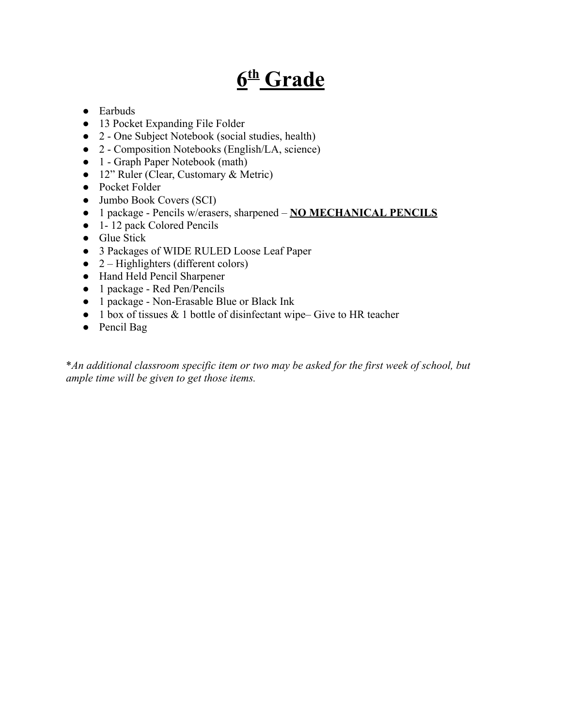# **6 th Grade**

- Earbuds
- 13 Pocket Expanding File Folder
- 2 One Subject Notebook (social studies, health)
- 2 Composition Notebooks (English/LA, science)
- 1 Graph Paper Notebook (math)
- 12" Ruler (Clear, Customary & Metric)
- Pocket Folder
- Jumbo Book Covers (SCI)
- 1 package Pencils w/erasers, sharpened **NO MECHANICAL PENCILS**
- 1 12 pack Colored Pencils
- Glue Stick
- 3 Packages of WIDE RULED Loose Leaf Paper
- $\bullet$  2 Highlighters (different colors)
- Hand Held Pencil Sharpener
- 1 package Red Pen/Pencils
- 1 package Non-Erasable Blue or Black Ink
- $\bullet$  1 box of tissues & 1 bottle of disinfectant wipe– Give to HR teacher
- Pencil Bag

\**An additional classroom specific item or two may be asked for the first week of school, but ample time will be given to get those items.*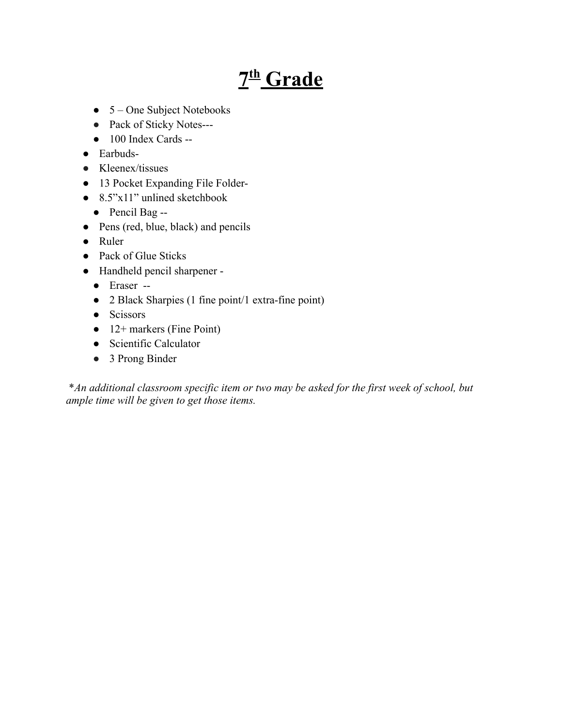# **7 th Grade**

- $\bullet$  5 One Subject Notebooks
- Pack of Sticky Notes---
- 100 Index Cards --
- Earbuds-
- Kleenex/tissues
- 13 Pocket Expanding File Folder-
- $\bullet$  8.5"x11" unlined sketchbook
	- Pencil Bag --
- Pens (red, blue, black) and pencils
- Ruler
- Pack of Glue Sticks
- Handheld pencil sharpener
	- Eraser --
	- 2 Black Sharpies (1 fine point/1 extra-fine point)
	- Scissors
	- $\bullet$  12+ markers (Fine Point)
	- Scientific Calculator
	- 3 Prong Binder

\**An additional classroom specific item or two may be asked for the first week of school, but ample time will be given to get those items.*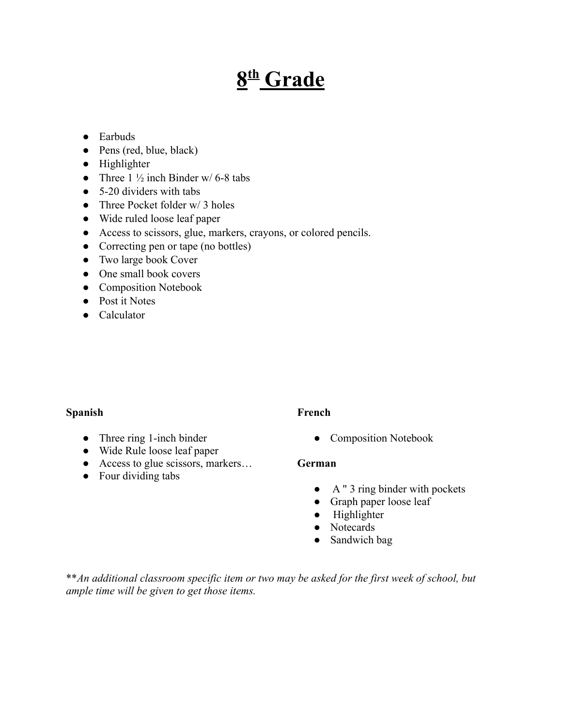# **8 th Grade**

#### ● Earbuds

- Pens (red, blue, black)
- Highlighter
- Three  $1\frac{1}{2}$  inch Binder w/ 6-8 tabs
- $\bullet$  5-20 dividers with tabs
- Three Pocket folder  $w/3$  holes
- Wide ruled loose leaf paper
- Access to scissors, glue, markers, crayons, or colored pencils.
- Correcting pen or tape (no bottles)
- Two large book Cover
- One small book covers
- Composition Notebook
- Post it Notes
- Calculator

#### **Spanish**

- Three ring 1-inch binder
- Wide Rule loose leaf paper
- Access to glue scissors, markers...
- Four dividing tabs

#### **French**

• Composition Notebook

#### **German**

- A " 3 ring binder with pockets
- Graph paper loose leaf
- Highlighter
- Notecards
- Sandwich bag

\*\**An additional classroom specific item or two may be asked for the first week of school, but ample time will be given to get those items.*